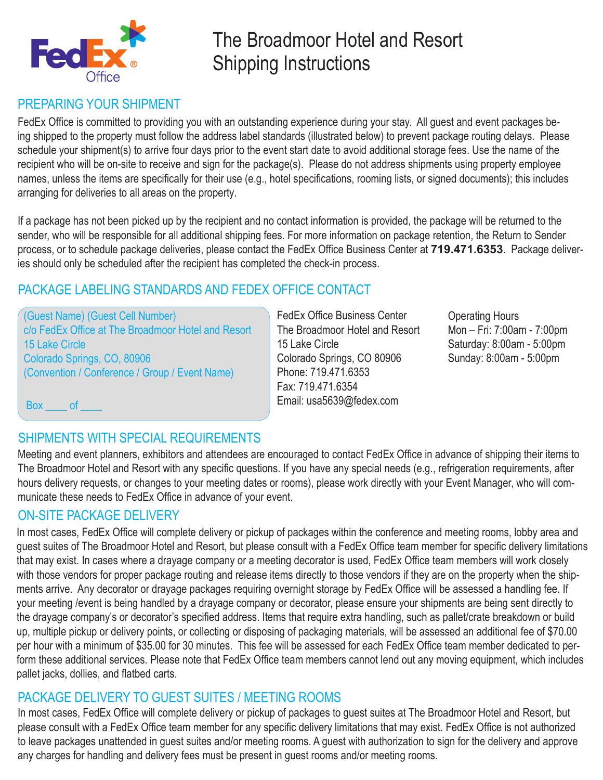

# The Broadmoor Hotel and Resort Shipping Instructions

## PREPARING YOUR SHIPMENT

FedEx Office is committed to providing you with an outstanding experience during your stay. All guest and event packages being shipped to the property must follow the address label standards (illustrated below) to prevent package routing delays. Please schedule your shipment(s) to arrive four days prior to the event start date to avoid additional storage fees. Use the name of the recipient who will be on-site to receive and sign for the package(s). Please do not address shipments using property employee names, unless the items are specifically for their use (e.g., hotel specifications, rooming lists, or signed documents); this includes arranging for deliveries to all areas on the property.

If a package has not been picked up by the recipient and no contact information is provided, the package will be returned to the sender, who will be responsible for all additional shipping fees. For more information on package retention, the Return to Sender process, or to schedule package deliveries, please contact the FedEx Office Business Center at **719.471.6353**. Package deliveries should only be scheduled after the recipient has completed the check-in process.

## PACKAGE LABELING STANDARDS AND FEDEX OFFICE CONTACT

(Guest Name) (Guest Cell Number) c/o FedEx Office at The Broadmoor Hotel and Resort 15 Lake Circle Colorado Springs, CO, 80906 (Convention / Conference / Group / Event Name)

FedEx Office Business Center The Broadmoor Hotel and Resort 15 Lake Circle Colorado Springs, CO 80906 Phone: 719.471.6353 Fax: 719.471.6354 Email: usa5639@fedex.com

Operating Hours Mon – Fri: 7:00am - 7:00pm Saturday: 8:00am - 5:00pm Sunday: 8:00am - 5:00pm

Box of

## SHIPMENTS WITH SPECIAL REQUIREMENTS

Meeting and event planners, exhibitors and attendees are encouraged to contact FedEx Office in advance of shipping their items to The Broadmoor Hotel and Resort with any specific questions. If you have any special needs (e.g., refrigeration requirements, after hours delivery requests, or changes to your meeting dates or rooms), please work directly with your Event Manager, who will communicate these needs to FedEx Office in advance of your event.

## ON-SITE PACKAGE DELIVERY

In most cases, FedEx Office will complete delivery or pickup of packages within the conference and meeting rooms, lobby area and guest suites of The Broadmoor Hotel and Resort, but please consult with a FedEx Office team member for specific delivery limitations that may exist. In cases where a drayage company or a meeting decorator is used, FedEx Office team members will work closely with those vendors for proper package routing and release items directly to those vendors if they are on the property when the shipments arrive. Any decorator or drayage packages requiring overnight storage by FedEx Office will be assessed a handling fee. If your meeting /event is being handled by a drayage company or decorator, please ensure your shipments are being sent directly to the drayage company's or decorator's specified address. Items that require extra handling, such as pallet/crate breakdown or build up, multiple pickup or delivery points, or collecting or disposing of packaging materials, will be assessed an additional fee of \$70.00 per hour with a minimum of \$35.00 for 30 minutes. This fee will be assessed for each FedEx Office team member dedicated to perform these additional services. Please note that FedEx Office team members cannot lend out any moving equipment, which includes pallet jacks, dollies, and flatbed carts.

### PACKAGE DELIVERY TO GUEST SUITES / MEETING ROOMS

In most cases, FedEx Office will complete delivery or pickup of packages to guest suites at The Broadmoor Hotel and Resort, but please consult with a FedEx Office team member for any specific delivery limitations that may exist. FedEx Office is not authorized to leave packages unattended in guest suites and/or meeting rooms. A guest with authorization to sign for the delivery and approve any charges for handling and delivery fees must be present in guest rooms and/or meeting rooms.